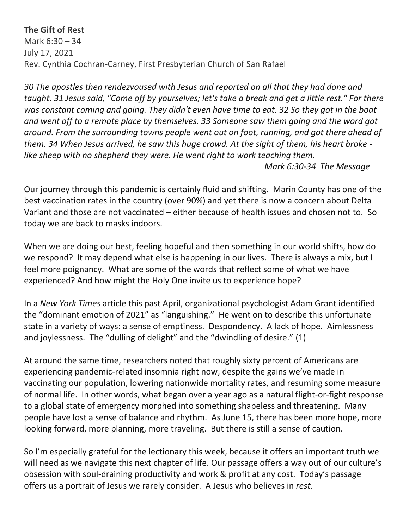## **The Gift of Rest**

Mark 6:30 – 34 July 17, 2021 Rev. Cynthia Cochran-Carney, First Presbyterian Church of San Rafael

*30 The apostles then rendezvoused with Jesus and reported on all that they had done and taught. 31 Jesus said, "Come off by yourselves; let's take a break and get a little rest." For there was constant coming and going. They didn't even have time to eat. 32 So they got in the boat and went off to a remote place by themselves. 33 Someone saw them going and the word got around. From the surrounding towns people went out on foot, running, and got there ahead of them. 34 When Jesus arrived, he saw this huge crowd. At the sight of them, his heart broke like sheep with no shepherd they were. He went right to work teaching them.*

*Mark 6:30-34 The Message*

Our journey through this pandemic is certainly fluid and shifting. Marin County has one of the best vaccination rates in the country (over 90%) and yet there is now a concern about Delta Variant and those are not vaccinated – either because of health issues and chosen not to. So today we are back to masks indoors.

When we are doing our best, feeling hopeful and then something in our world shifts, how do we respond? It may depend what else is happening in our lives. There is always a mix, but I feel more poignancy. What are some of the words that reflect some of what we have experienced? And how might the Holy One invite us to experience hope?

In a *New York Times* article this past April, organizational psychologist Adam Grant identified the "dominant emotion of 2021" as "languishing." He went on to describe this unfortunate state in a variety of ways: a sense of emptiness. Despondency. A lack of hope. Aimlessness and joylessness. The "dulling of delight" and the "dwindling of desire." (1)

At around the same time, researchers noted that roughly sixty percent of Americans are experiencing pandemic-related insomnia right now, despite the gains we've made in vaccinating our population, lowering nationwide mortality rates, and resuming some measure of normal life. In other words, what began over a year ago as a natural flight-or-fight response to a global state of emergency morphed into something shapeless and threatening. Many people have lost a sense of balance and rhythm. As June 15, there has been more hope, more looking forward, more planning, more traveling. But there is still a sense of caution.

So I'm especially grateful for the lectionary this week, because it offers an important truth we will need as we navigate this next chapter of life. Our passage offers a way out of our culture's obsession with soul-draining productivity and work & profit at any cost. Today's passage offers us a portrait of Jesus we rarely consider. A Jesus who believes in *rest.*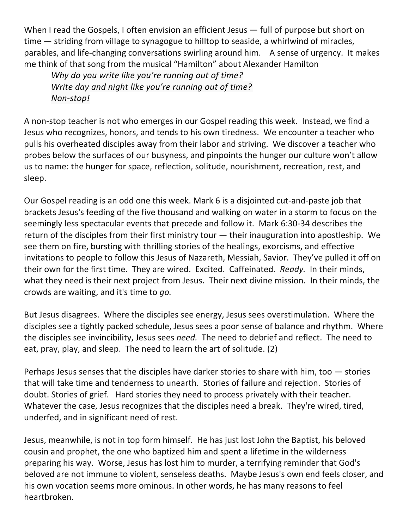When I read the Gospels, I often envision an efficient Jesus – full of purpose but short on time — striding from village to synagogue to hilltop to seaside, a whirlwind of miracles, parables, and life-changing conversations swirling around him. A sense of urgency. It makes me think of that song from the musical "Hamilton" about Alexander Hamilton

*Why do you write like you're running out of time? Write day and night like you're running out of time? Non-stop!*

A non-stop teacher is not who emerges in our Gospel reading this week. Instead, we find a Jesus who recognizes, honors, and tends to his own tiredness. We encounter a teacher who pulls his overheated disciples away from their labor and striving. We discover a teacher who probes below the surfaces of our busyness, and pinpoints the hunger our culture won't allow us to name: the hunger for space, reflection, solitude, nourishment, recreation, rest, and sleep.

Our Gospel reading is an odd one this week. Mark 6 is a disjointed cut-and-paste job that brackets Jesus's feeding of the five thousand and walking on water in a storm to focus on the seemingly less spectacular events that precede and follow it. Mark 6:30-34 describes the return of the disciples from their first ministry tour — their inauguration into apostleship. We see them on fire, bursting with thrilling stories of the healings, exorcisms, and effective invitations to people to follow this Jesus of Nazareth, Messiah, Savior. They've pulled it off on their own for the first time. They are wired. Excited. Caffeinated. *Ready.* In their minds, what they need is their next project from Jesus. Their next divine mission. In their minds, the crowds are waiting, and it's time to *go.*

But Jesus disagrees. Where the disciples see energy, Jesus sees overstimulation. Where the disciples see a tightly packed schedule, Jesus sees a poor sense of balance and rhythm. Where the disciples see invincibility, Jesus sees *need.* The need to debrief and reflect. The need to eat, pray, play, and sleep. The need to learn the art of solitude. (2)

Perhaps Jesus senses that the disciples have darker stories to share with him, too  $-$  stories that will take time and tenderness to unearth. Stories of failure and rejection. Stories of doubt. Stories of grief. Hard stories they need to process privately with their teacher. Whatever the case, Jesus recognizes that the disciples need a break. They're wired, tired, underfed, and in significant need of rest.

Jesus, meanwhile, is not in top form himself. He has just lost John the Baptist, his beloved cousin and prophet, the one who baptized him and spent a lifetime in the wilderness preparing his way. Worse, Jesus has lost him to murder, a terrifying reminder that God's beloved are not immune to violent, senseless deaths. Maybe Jesus's own end feels closer, and his own vocation seems more ominous. In other words, he has many reasons to feel heartbroken.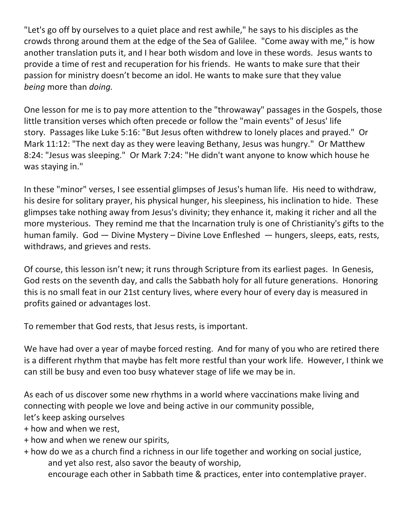"Let's go off by ourselves to a quiet place and rest awhile," he says to his disciples as the crowds throng around them at the edge of the Sea of Galilee. "Come away with me," is how another translation puts it, and I hear both wisdom and love in these words. Jesus wants to provide a time of rest and recuperation for his friends. He wants to make sure that their passion for ministry doesn't become an idol. He wants to make sure that they value *being* more than *doing.*

One lesson for me is to pay more attention to the "throwaway" passages in the Gospels, those little transition verses which often precede or follow the "main events" of Jesus' life story. Passages like Luke 5:16: "But Jesus often withdrew to lonely places and prayed." Or Mark 11:12: "The next day as they were leaving Bethany, Jesus was hungry." Or Matthew 8:24: "Jesus was sleeping." Or Mark 7:24: "He didn't want anyone to know which house he was staying in."

In these "minor" verses, I see essential glimpses of Jesus's human life. His need to withdraw, his desire for solitary prayer, his physical hunger, his sleepiness, his inclination to hide. These glimpses take nothing away from Jesus's divinity; they enhance it, making it richer and all the more mysterious. They remind me that the Incarnation truly is one of Christianity's gifts to the human family. God — Divine Mystery – Divine Love Enfleshed — hungers, sleeps, eats, rests, withdraws, and grieves and rests.

Of course, this lesson isn't new; it runs through Scripture from its earliest pages. In Genesis, God rests on the seventh day, and calls the Sabbath holy for all future generations. Honoring this is no small feat in our 21st century lives, where every hour of every day is measured in profits gained or advantages lost.

To remember that God rests, that Jesus rests, is important.

We have had over a year of maybe forced resting. And for many of you who are retired there is a different rhythm that maybe has felt more restful than your work life. However, I think we can still be busy and even too busy whatever stage of life we may be in.

As each of us discover some new rhythms in a world where vaccinations make living and connecting with people we love and being active in our community possible,

let's keep asking ourselves

+ how and when we rest,

- + how and when we renew our spirits,
- + how do we as a church find a richness in our life together and working on social justice, and yet also rest, also savor the beauty of worship, encourage each other in Sabbath time & practices, enter into contemplative prayer.